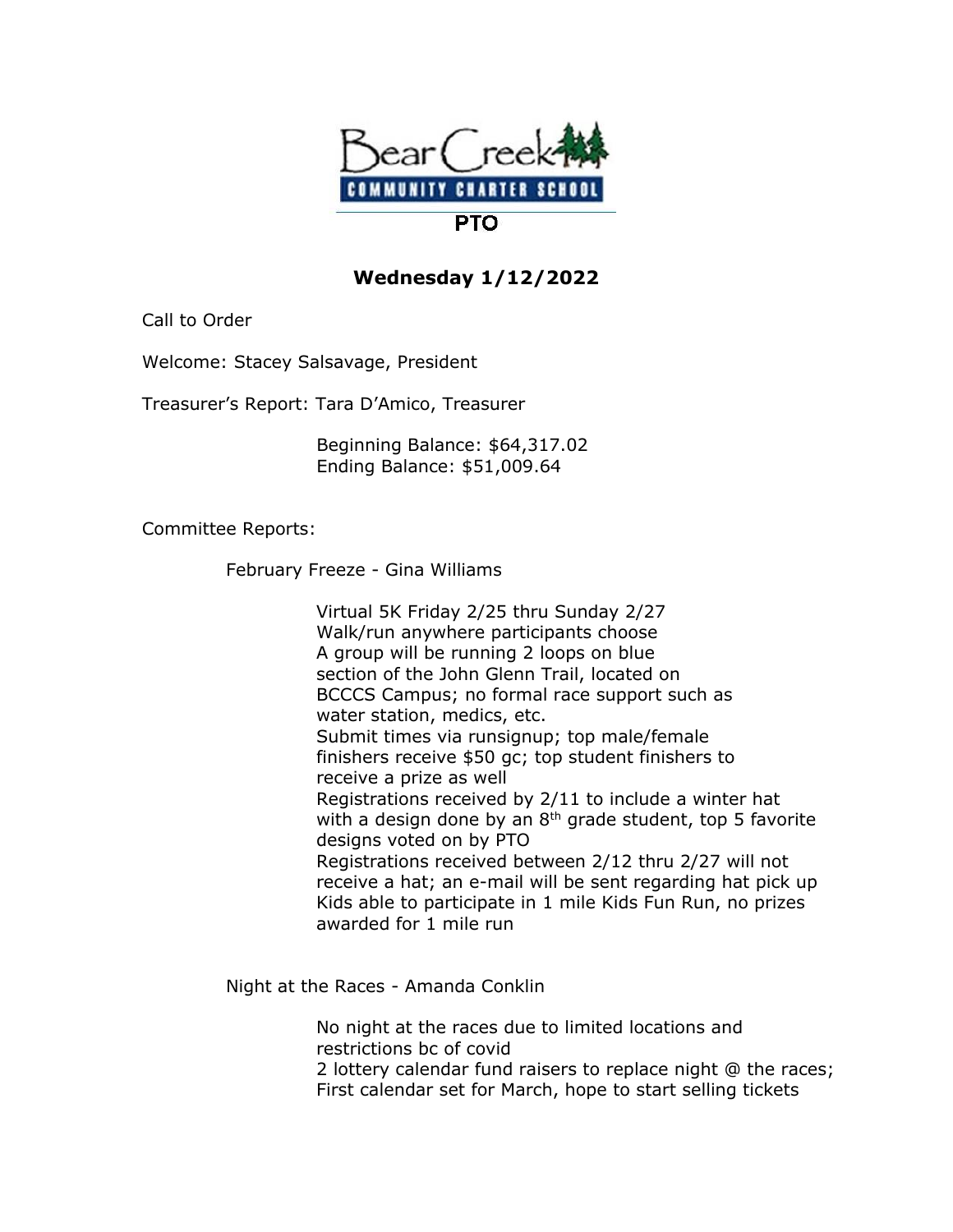

## **Wednesday 1/12/2022**

Call to Order

Welcome: Stacey Salsavage, President

Treasurer's Report: Tara D'Amico, Treasurer

 Beginning Balance: \$64,317.02 Ending Balance: \$51,009.64

Committee Reports:

February Freeze - Gina Williams

 Virtual 5K Friday 2/25 thru Sunday 2/27 Walk/run anywhere participants choose A group will be running 2 loops on blue section of the John Glenn Trail, located on BCCCS Campus; no formal race support such as water station, medics, etc. Submit times via runsignup; top male/female finishers receive \$50 gc; top student finishers to receive a prize as well Registrations received by 2/11 to include a winter hat with a design done by an  $8<sup>th</sup>$  grade student, top 5 favorite designs voted on by PTO Registrations received between 2/12 thru 2/27 will not receive a hat; an e-mail will be sent regarding hat pick up Kids able to participate in 1 mile Kids Fun Run, no prizes awarded for 1 mile run

Night at the Races - Amanda Conklin

 No night at the races due to limited locations and restrictions bc of covid 2 lottery calendar fund raisers to replace night @ the races; First calendar set for March, hope to start selling tickets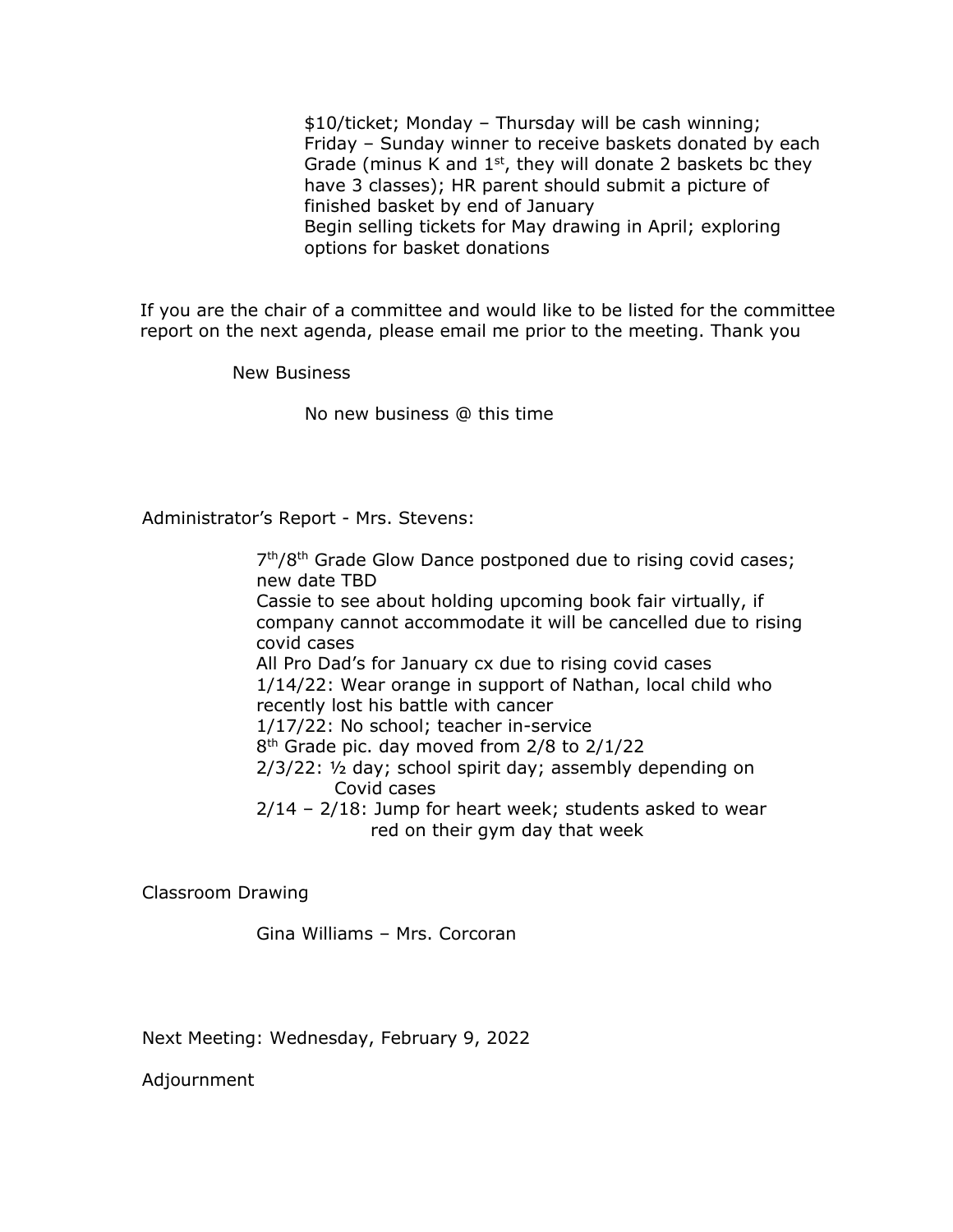\$10/ticket; Monday – Thursday will be cash winning; Friday – Sunday winner to receive baskets donated by each Grade (minus K and  $1<sup>st</sup>$ , they will donate 2 baskets bc they have 3 classes); HR parent should submit a picture of finished basket by end of January Begin selling tickets for May drawing in April; exploring options for basket donations

If you are the chair of a committee and would like to be listed for the committee report on the next agenda, please email me prior to the meeting. Thank you

New Business

No new business @ this time

Administrator's Report - Mrs. Stevens:

 7 7<sup>th</sup>/8<sup>th</sup> Grade Glow Dance postponed due to rising covid cases; new date TBD Cassie to see about holding upcoming book fair virtually, if company cannot accommodate it will be cancelled due to rising covid cases All Pro Dad's for January cx due to rising covid cases 1/14/22: Wear orange in support of Nathan, local child who recently lost his battle with cancer 1/17/22: No school; teacher in-service 8  $8<sup>th</sup>$  Grade pic. day moved from 2/8 to 2/1/22 2/3/22: ½ day; school spirit day; assembly depending on Covid cases 2/14 – 2/18: Jump for heart week; students asked to wear red on their gym day that week

Classroom Drawing

Gina Williams – Mrs. Corcoran

Next Meeting: Wednesday, February 9, 2022

Adjournment